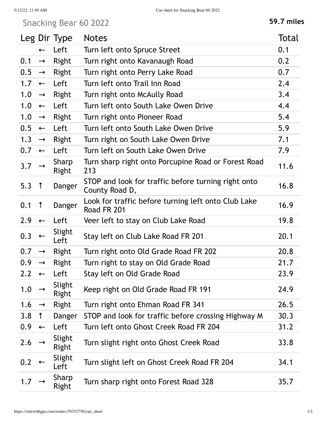## Snacking Bear 60 2022 **59.7 miles**

|     |               | Leg Dir Type    | <b>Notes</b>                                                          | Total |
|-----|---------------|-----------------|-----------------------------------------------------------------------|-------|
|     | $\leftarrow$  | Left            | Turn left onto Spruce Street                                          | 0.1   |
| 0.1 | $\rightarrow$ | Right           | Turn right onto Kavanaugh Road                                        | 0.2   |
| 0.5 | $\rightarrow$ | Right           | Turn right onto Perry Lake Road                                       | 0.7   |
| 1.7 | $\leftarrow$  | Left            | Turn left onto Trail Inn Road                                         | 2.4   |
| 1.0 | $\rightarrow$ | Right           | Turn right onto McAully Road                                          | 3.4   |
| 1.0 | $\leftarrow$  | Left            | Turn left onto South Lake Owen Drive                                  | 4.4   |
| 1.0 | $\rightarrow$ | Right           | Turn right onto Pioneer Road                                          | 5.4   |
| 0.5 | $\leftarrow$  | Left            | Turn left onto South Lake Owen Drive                                  | 5.9   |
| 1.3 | $\rightarrow$ | Right           | Turn right on South Lake Owen Drive                                   | 7.1   |
| 0.7 | $\leftarrow$  | Left            | Turn left on South Lake Owen Drive                                    | 7.9   |
| 3.7 |               | Sharp<br>Right  | Turn sharp right onto Porcupine Road or Forest Road<br>213            | 11.6  |
| 5.3 | $\uparrow$    | Danger          | STOP and look for traffic before turning right onto<br>County Road D, | 16.8  |
| 0.1 | $\uparrow$    | Danger          | Look for traffic before turning left onto Club Lake<br>Road FR 201    | 16.9  |
| 2.9 | $\leftarrow$  | Left            | Veer left to stay on Club Lake Road                                   | 19.8  |
| 0.3 |               | Slight<br>Left  | Stay left on Club Lake Road FR 201                                    | 20.1  |
| 0.7 | $\rightarrow$ | Right           | Turn right onto Old Grade Road FR 202                                 | 20.8  |
| 0.9 | $\rightarrow$ | Right           | Turn right to stay on Old Grade Road                                  | 21.7  |
| 2.2 | $\leftarrow$  | Left            | Stay left on Old Grade Road                                           | 23.9  |
| 1.0 |               | Slight<br>Right | Keep right on Old Grade Road FR 191                                   | 24.9  |
| 1.6 | $\rightarrow$ | Right           | Turn right onto Ehman Road FR 341                                     | 26.5  |
| 3.8 | $\uparrow$    | Danger          | STOP and look for traffic before crossing Highway M                   | 30.3  |
| 0.9 | $\leftarrow$  | Left            | Turn left onto Ghost Creek Road FR 204                                | 31.2  |
| 2.6 |               | Slight<br>Right | Turn slight right onto Ghost Creek Road                               | 33.8  |
| 0.2 |               | Slight<br>Left  | Turn slight left on Ghost Creek Road FR 204                           | 34.1  |
| 1.7 |               | Sharp<br>Right  | Turn sharp right onto Forest Road 328                                 | 35.7  |